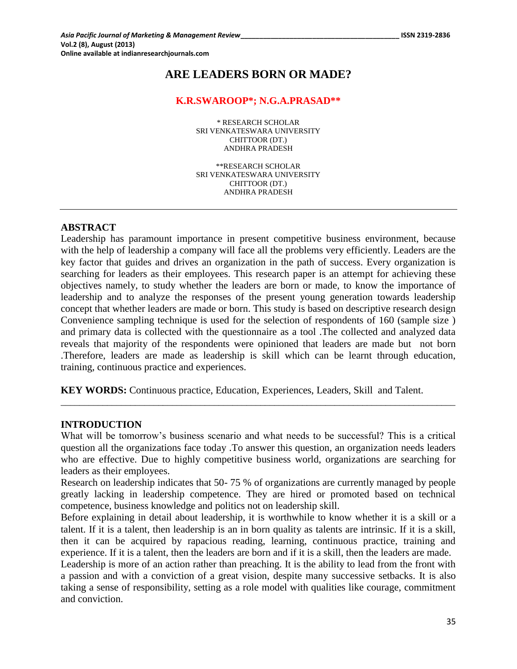# **ARE LEADERS BORN OR MADE?**

#### **K.R.SWAROOP\*; N.G.A.PRASAD\*\***

\* RESEARCH SCHOLAR SRI VENKATESWARA UNIVERSITY CHITTOOR (DT.) ANDHRA PRADESH

\*\*RESEARCH SCHOLAR SRI VENKATESWARA UNIVERSITY CHITTOOR (DT.) ANDHRA PRADESH

### **ABSTRACT**

Leadership has paramount importance in present competitive business environment, because with the help of leadership a company will face all the problems very efficiently. Leaders are the key factor that guides and drives an organization in the path of success. Every organization is searching for leaders as their employees. This research paper is an attempt for achieving these objectives namely, to study whether the leaders are born or made, to know the importance of leadership and to analyze the responses of the present young generation towards leadership concept that whether leaders are made or born. This study is based on descriptive research design Convenience sampling technique is used for the selection of respondents of 160 (sample size ) and primary data is collected with the questionnaire as a tool .The collected and analyzed data reveals that majority of the respondents were opinioned that leaders are made but not born .Therefore, leaders are made as leadership is skill which can be learnt through education, training, continuous practice and experiences.

**KEY WORDS:** Continuous practice, Education, Experiences, Leaders, Skill and Talent.

#### **INTRODUCTION**

What will be tomorrow's business scenario and what needs to be successful? This is a critical question all the organizations face today .To answer this question, an organization needs leaders who are effective. Due to highly competitive business world, organizations are searching for leaders as their employees.

\_\_\_\_\_\_\_\_\_\_\_\_\_\_\_\_\_\_\_\_\_\_\_\_\_\_\_\_\_\_\_\_\_\_\_\_\_\_\_\_\_\_\_\_\_\_\_\_\_\_\_\_\_\_\_\_\_\_\_\_\_\_\_\_\_\_\_\_\_\_\_\_\_\_\_\_\_\_\_\_\_\_\_\_\_

Research on leadership indicates that 50- 75 % of organizations are currently managed by people greatly lacking in leadership competence. They are hired or promoted based on technical competence, business knowledge and politics not on leadership skill.

Before explaining in detail about leadership, it is worthwhile to know whether it is a skill or a talent. If it is a talent, then leadership is an in born quality as talents are intrinsic. If it is a skill, then it can be acquired by rapacious reading, learning, continuous practice, training and experience. If it is a talent, then the leaders are born and if it is a skill, then the leaders are made.

Leadership is more of an action rather than preaching. It is the ability to lead from the front with a passion and with a conviction of a great vision, despite many successive setbacks. It is also taking a sense of responsibility, setting as a role model with qualities like courage, commitment and conviction.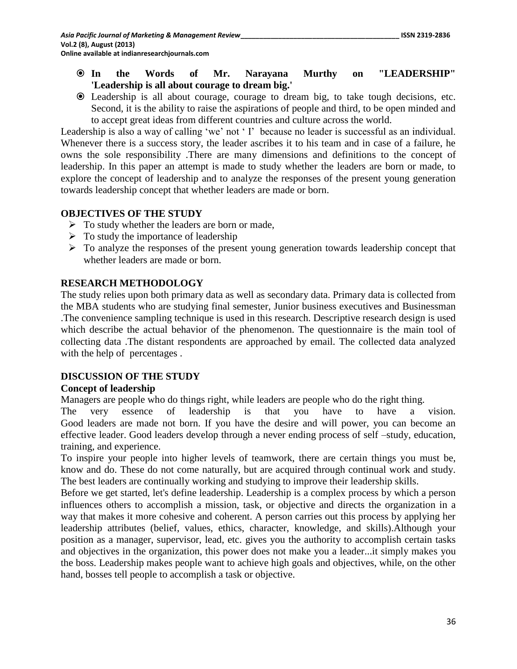- **In the Words of Mr. Narayana Murthy on "LEADERSHIP" 'Leadership is all about courage to dream big.'**
- Leadership is all about courage, courage to dream big, to take tough decisions, etc. Second, it is the ability to raise the aspirations of people and third, to be open minded and to accept great ideas from different countries and culture across the world.

Leadership is also a way of calling 'we' not ' I' because no leader is successful as an individual. Whenever there is a success story, the leader ascribes it to his team and in case of a failure, he owns the sole responsibility .There are many dimensions and definitions to the concept of leadership. In this paper an attempt is made to study whether the leaders are born or made, to explore the concept of leadership and to analyze the responses of the present young generation towards leadership concept that whether leaders are made or born.

## **OBJECTIVES OF THE STUDY**

- $\triangleright$  To study whether the leaders are born or made,
- $\triangleright$  To study the importance of leadership
- $\triangleright$  To analyze the responses of the present young generation towards leadership concept that whether leaders are made or born.

## **RESEARCH METHODOLOGY**

The study relies upon both primary data as well as secondary data. Primary data is collected from the MBA students who are studying final semester, Junior business executives and Businessman .The convenience sampling technique is used in this research. Descriptive research design is used which describe the actual behavior of the phenomenon. The questionnaire is the main tool of collecting data .The distant respondents are approached by email. The collected data analyzed with the help of percentages.

## **DISCUSSION OF THE STUDY**

## **Concept of leadership**

Managers are people who do things right, while leaders are people who do the right thing.

The very essence of leadership is that you have to have a vision. Good leaders are made not born. If you have the desire and will power, you can become an effective leader. Good leaders develop through a never ending process of self –study, education, training, and experience.

To inspire your people into higher levels of teamwork, there are certain things you must be, know and do. These do not come naturally, but are acquired through continual work and study. The best leaders are continually working and studying to improve their leadership skills.

Before we get started, let's define leadership. Leadership is a complex process by which a person influences others to accomplish a mission, task, or objective and directs the organization in a way that makes it more cohesive and coherent. A person carries out this process by applying her leadership attributes (belief, values, ethics, character, knowledge, and skills).Although your position as a manager, supervisor, lead, etc. gives you the authority to accomplish certain tasks and objectives in the organization, this power does not make you a leader...it simply makes you the boss. Leadership makes people want to achieve high goals and objectives, while, on the other hand, bosses tell people to accomplish a task or objective.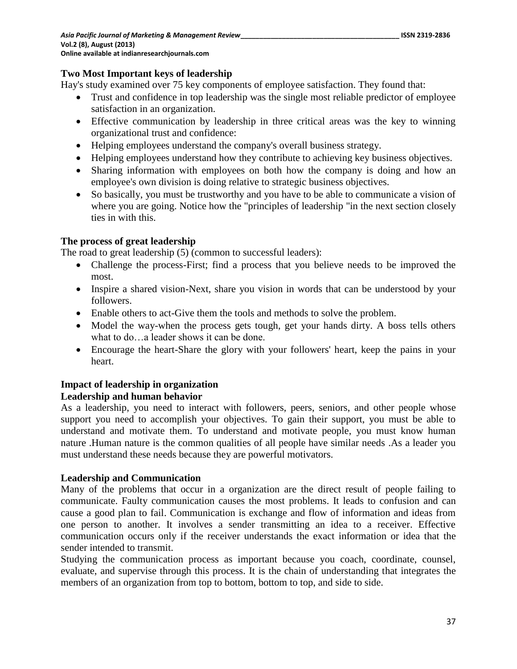## **Two Most Important keys of leadership**

Hay's study examined over 75 key components of employee satisfaction. They found that:

- Trust and confidence in top leadership was the single most reliable predictor of employee satisfaction in an organization.
- Effective communication by leadership in three critical areas was the key to winning organizational trust and confidence:
- Helping employees understand the company's overall business strategy.
- Helping employees understand how they contribute to achieving key business objectives.
- Sharing information with employees on both how the company is doing and how an employee's own division is doing relative to strategic business objectives.
- So basically, you must be trustworthy and you have to be able to communicate a vision of where you are going. Notice how the "principles of leadership "in the next section closely ties in with this.

## **The process of great leadership**

The road to great leadership  $(5)$  (common to successful leaders):

- Challenge the process-First; find a process that you believe needs to be improved the most.
- Inspire a shared vision-Next, share you vision in words that can be understood by your followers.
- Enable others to act-Give them the tools and methods to solve the problem.
- Model the way-when the process gets tough, get your hands dirty. A boss tells others what to do…a leader shows it can be done.
- Encourage the heart-Share the glory with your followers' heart, keep the pains in your heart.

## **Impact of leadership in organization**

## **Leadership and human behavior**

As a leadership, you need to interact with followers, peers, seniors, and other people whose support you need to accomplish your objectives. To gain their support, you must be able to understand and motivate them. To understand and motivate people, you must know human nature .Human nature is the common qualities of all people have similar needs .As a leader you must understand these needs because they are powerful motivators.

## **Leadership and Communication**

Many of the problems that occur in a organization are the direct result of people failing to communicate. Faulty communication causes the most problems. It leads to confusion and can cause a good plan to fail. Communication is exchange and flow of information and ideas from one person to another. It involves a sender transmitting an idea to a receiver. Effective communication occurs only if the receiver understands the exact information or idea that the sender intended to transmit.

Studying the communication process as important because you coach, coordinate, counsel, evaluate, and supervise through this process. It is the chain of understanding that integrates the members of an organization from top to bottom, bottom to top, and side to side.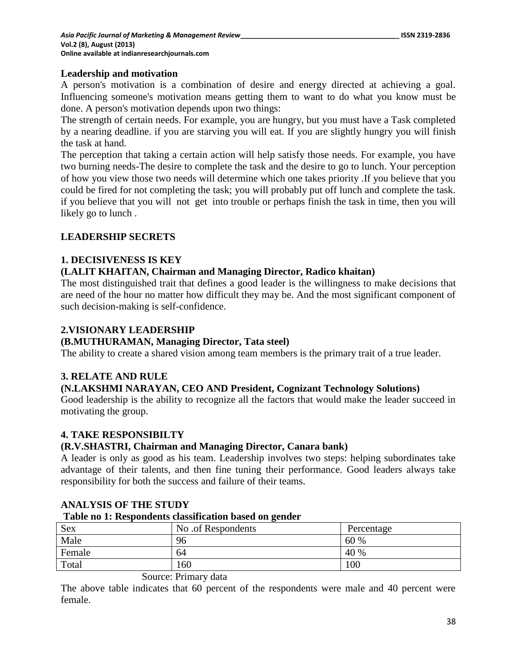### **Leadership and motivation**

A person's motivation is a combination of desire and energy directed at achieving a goal. Influencing someone's motivation means getting them to want to do what you know must be done. A person's motivation depends upon two things:

The strength of certain needs. For example, you are hungry, but you must have a Task completed by a nearing deadline. if you are starving you will eat. If you are slightly hungry you will finish the task at hand.

The perception that taking a certain action will help satisfy those needs. For example, you have two burning needs-The desire to complete the task and the desire to go to lunch. Your perception of how you view those two needs will determine which one takes priority .If you believe that you could be fired for not completing the task; you will probably put off lunch and complete the task. if you believe that you will not get into trouble or perhaps finish the task in time, then you will likely go to lunch .

## **LEADERSHIP SECRETS**

## **1. DECISIVENESS IS KEY**

## **(LALIT KHAITAN, Chairman and Managing Director, Radico khaitan)**

The most distinguished trait that defines a good leader is the willingness to make decisions that are need of the hour no matter how difficult they may be. And the most significant component of such decision-making is self-confidence.

## **2.VISIONARY LEADERSHIP**

## **(B.MUTHURAMAN, Managing Director, Tata steel)**

The ability to create a shared vision among team members is the primary trait of a true leader.

## **3. RELATE AND RULE**

## **(N.LAKSHMI NARAYAN, CEO AND President, Cognizant Technology Solutions)**

Good leadership is the ability to recognize all the factors that would make the leader succeed in motivating the group.

## **4. TAKE RESPONSIBILTY**

#### **(R.V.SHASTRI, Chairman and Managing Director, Canara bank)**

A leader is only as good as his team. Leadership involves two steps: helping subordinates take advantage of their talents, and then fine tuning their performance. Good leaders always take responsibility for both the success and failure of their teams.

| Table no 1: Respondents classification based on gender |                    |            |  |  |
|--------------------------------------------------------|--------------------|------------|--|--|
| Sex                                                    | No .of Respondents | Percentage |  |  |
| Male                                                   | 96                 | 60 %       |  |  |
| Female                                                 | 64                 | 40 %       |  |  |
| Total                                                  | 160                | 100        |  |  |

## **ANALYSIS OF THE STUDY**

## **Table no 1: Respondents classification based on gender**

## Source: Primary data

The above table indicates that 60 percent of the respondents were male and 40 percent were female.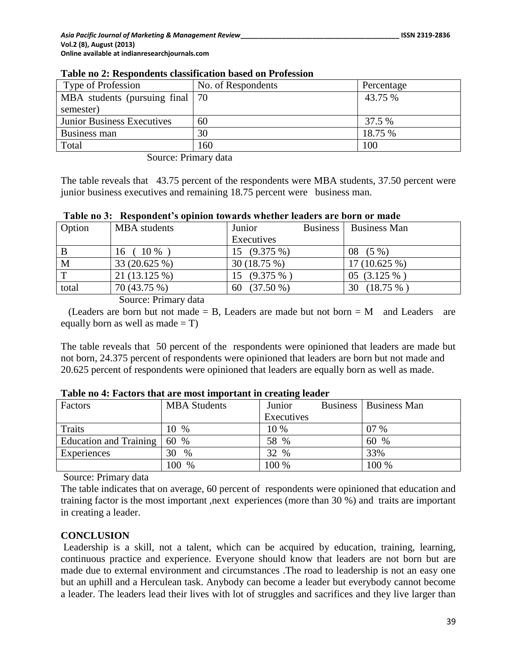| Type of Profession                | No. of Respondents | Percentage |
|-----------------------------------|--------------------|------------|
| MBA students (pursuing final   70 |                    | 43.75 %    |
| semester)                         |                    |            |
| <b>Junior Business Executives</b> | 60                 | 37.5 %     |
| Business man                      | 30                 | 18.75 %    |
| Total                             | 160                | 100        |

#### **Table no 2: Respondents classification based on Profession**

Source: Primary data

The table reveals that 43.75 percent of the respondents were MBA students, 37.50 percent were junior business executives and remaining 18.75 percent were business man.

| Option      | MBA students   | Junior            | <b>Business</b> | <b>Business Man</b> |
|-------------|----------------|-------------------|-----------------|---------------------|
|             |                | Executives        |                 |                     |
| B           | 10 %<br>16     | 15 (9.375 %)      |                 | $(5\%)$<br>08       |
| M           | 33 (20.625 %)  | 30 (18.75 %)      |                 | $17(10.625\%)$      |
| $\mathbf T$ | $21(13.125\%)$ | 15 (9.375 %)      |                 | 05 (3.125 %)        |
| total       | 70 (43.75 %)   | $(37.50\%)$<br>60 |                 | $(18.75\%$<br>30    |

Source: Primary data

(Leaders are born but not made  $=$  B, Leaders are made but not born  $=$  M and Leaders are equally born as well as made  $= T$ )

The table reveals that 50 percent of the respondents were opinioned that leaders are made but not born, 24.375 percent of respondents were opinioned that leaders are born but not made and 20.625 percent of respondents were opinioned that leaders are equally born as well as made.

| Factors                | <b>MBA</b> Students | Junior     | Business   Business Man |
|------------------------|---------------------|------------|-------------------------|
|                        |                     | Executives |                         |
| Traits                 | 10 %                | 10 %       | 07 %                    |
| Education and Training | 60 %                | 58 %       | 60<br>%                 |
| Experiences            | 30<br>$\%$          | 32 %       | 33%                     |
|                        | 100 %               | 100 %      | 100 %                   |

**Table no 4: Factors that are most important in creating leader** 

Source: Primary data

The table indicates that on average, 60 percent of respondents were opinioned that education and training factor is the most important ,next experiences (more than 30 %) and traits are important in creating a leader.

#### **CONCLUSION**

Leadership is a skill, not a talent, which can be acquired by education, training, learning, continuous practice and experience. Everyone should know that leaders are not born but are made due to external environment and circumstances .The road to leadership is not an easy one but an uphill and a Herculean task. Anybody can become a leader but everybody cannot become a leader. The leaders lead their lives with lot of struggles and sacrifices and they live larger than